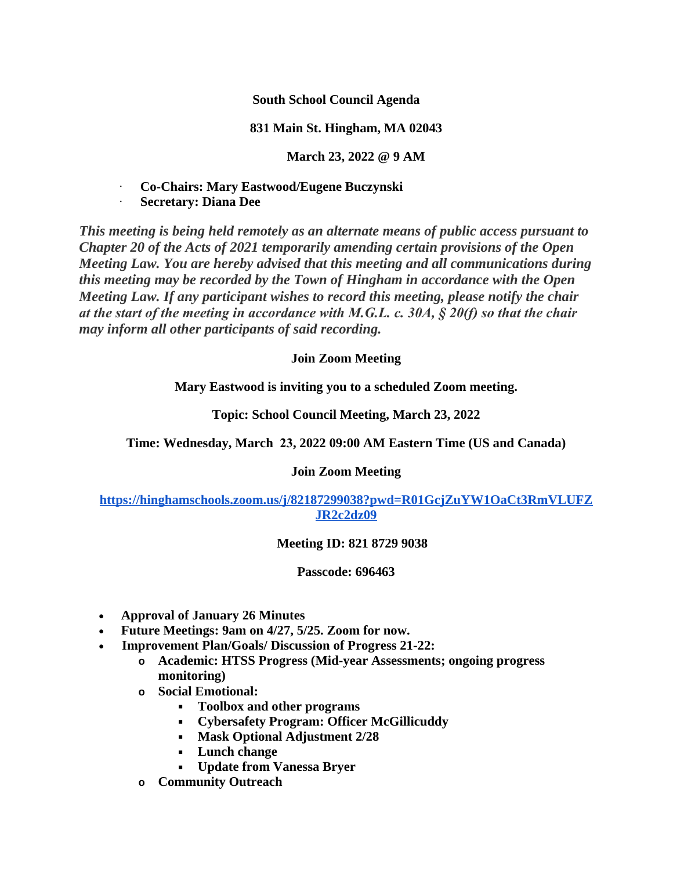**South School Council Agenda**

## **831 Main St. Hingham, MA 02043**

**March 23, 2022 @ 9 AM**

· **Co-Chairs: Mary Eastwood/Eugene Buczynski**

· **Secretary: Diana Dee**

*This meeting is being held remotely as an alternate means of public access pursuant to Chapter 20 of the Acts of 2021 temporarily amending certain provisions of the Open Meeting Law. You are hereby advised that this meeting and all communications during this meeting may be recorded by the Town of Hingham in accordance with the Open Meeting Law. If any participant wishes to record this meeting, please notify the chair at the start of the meeting in accordance with M.G.L. c. 30A, § 20(f) so that the chair may inform all other participants of said recording.*

# **Join Zoom Meeting**

**Mary Eastwood is inviting you to a scheduled Zoom meeting.**

**Topic: School Council Meeting, March 23, 2022**

**Time: Wednesday, March 23, 2022 09:00 AM Eastern Time (US and Canada)**

# **Join Zoom Meeting**

**[https://hinghamschools.zoom.us/j/82187299038?pwd=R01GcjZuYW1OaCt3RmVLUFZ](https://hinghamschools.zoom.us/j/82187299038?pwd=R01GcjZuYW1OaCt3RmVLUFZJR2c2dz09) JR2c2dz09**

### **Meeting ID: 821 8729 9038**

### **Passcode: 696463**

- **Approval of January 26 Minutes**
- **Future Meetings: 9am on 4/27, 5/25. Zoom for now.**
- **Improvement Plan/Goals/ Discussion of Progress 21-22:**
	- **o Academic: HTSS Progress (Mid-year Assessments; ongoing progress monitoring)**
	- **o Social Emotional:**
		- **Toolbox and other programs**
		- **Cybersafety Program: Officer McGillicuddy**
		- **Mask Optional Adjustment 2/28**
		- **Lunch change**
		- **Update from Vanessa Bryer**
	- **o Community Outreach**